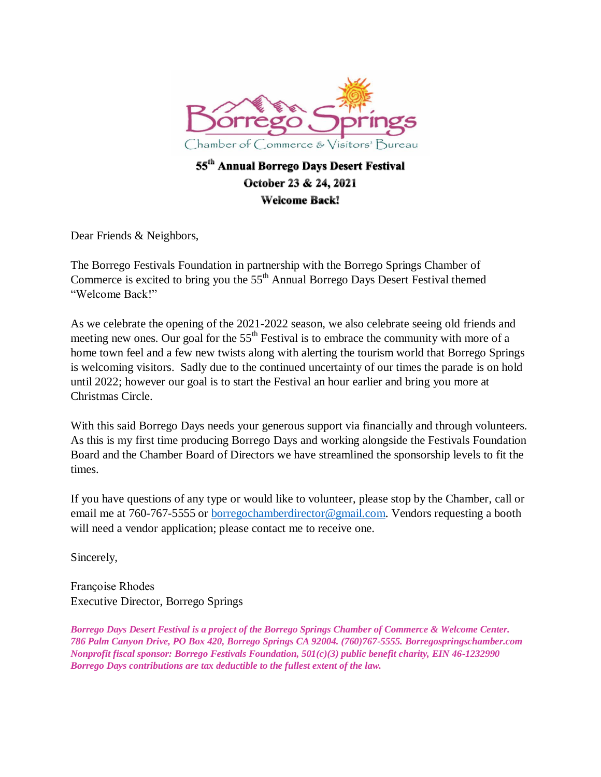

## 55<sup>th</sup> Annual Borrego Days Desert Festival October 23 & 24, 2021 **Welcome Back!**

Dear Friends & Neighbors,

The Borrego Festivals Foundation in partnership with the Borrego Springs Chamber of Commerce is excited to bring you the 55<sup>th</sup> Annual Borrego Days Desert Festival themed "Welcome Back!"

As we celebrate the opening of the 2021-2022 season, we also celebrate seeing old friends and meeting new ones. Our goal for the  $55<sup>th</sup>$  Festival is to embrace the community with more of a home town feel and a few new twists along with alerting the tourism world that Borrego Springs is welcoming visitors. Sadly due to the continued uncertainty of our times the parade is on hold until 2022; however our goal is to start the Festival an hour earlier and bring you more at Christmas Circle.

With this said Borrego Days needs your generous support via financially and through volunteers. As this is my first time producing Borrego Days and working alongside the Festivals Foundation Board and the Chamber Board of Directors we have streamlined the sponsorship levels to fit the times.

If you have questions of any type or would like to volunteer, please stop by the Chamber, call or email me at 760-767-5555 or [borregochamberdirector@gmail.com.](mailto:borregochamberdirector@gmail.com) Vendors requesting a booth will need a vendor application; please contact me to receive one.

Sincerely,

Françoise Rhodes Executive Director, Borrego Springs

*Borrego Days Desert Festival is a project of the Borrego Springs Chamber of Commerce & Welcome Center. 786 Palm Canyon Drive, PO Box 420, Borrego Springs CA 92004. (760)767-5555. Borregospringschamber.com Nonprofit fiscal sponsor: Borrego Festivals Foundation, 501(c)(3) public benefit charity, EIN 46-1232990 Borrego Days contributions are tax deductible to the fullest extent of the law.*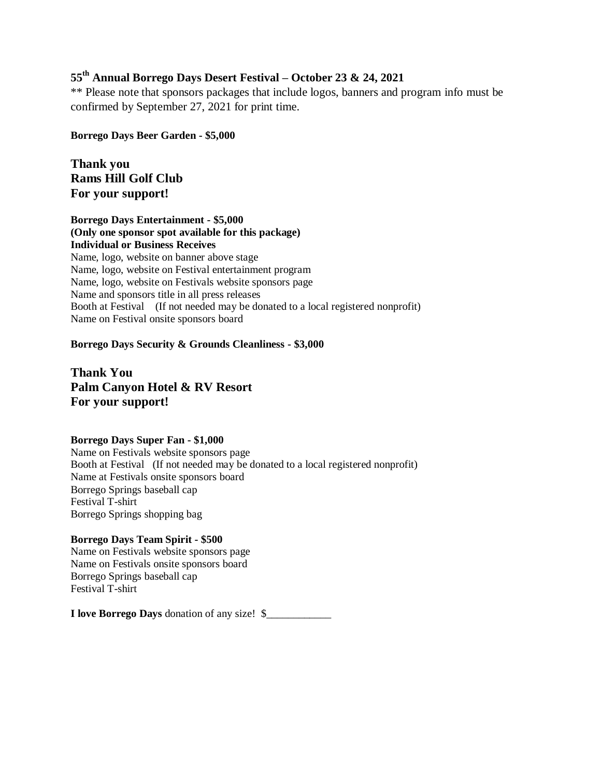### **55th Annual Borrego Days Desert Festival – October 23 & 24, 2021**

\*\* Please note that sponsors packages that include logos, banners and program info must be confirmed by September 27, 2021 for print time.

**Borrego Days Beer Garden - \$5,000** 

**Thank you Rams Hill Golf Club For your support!**

**Borrego Days Entertainment - \$5,000 (Only one sponsor spot available for this package) Individual or Business Receives**  Name, logo, website on banner above stage Name, logo, website on Festival entertainment program Name, logo, website on Festivals website sponsors page Name and sponsors title in all press releases Booth at Festival (If not needed may be donated to a local registered nonprofit) Name on Festival onsite sponsors board

**Borrego Days Security & Grounds Cleanliness - \$3,000** 

**Thank You Palm Canyon Hotel & RV Resort For your support!**

#### **Borrego Days Super Fan - \$1,000**

Name on Festivals website sponsors page Booth at Festival (If not needed may be donated to a local registered nonprofit) Name at Festivals onsite sponsors board Borrego Springs baseball cap Festival T-shirt Borrego Springs shopping bag

#### **Borrego Days Team Spirit - \$500**

Name on Festivals website sponsors page Name on Festivals onsite sponsors board Borrego Springs baseball cap Festival T-shirt

**I love Borrego Days** donation of any size! \$